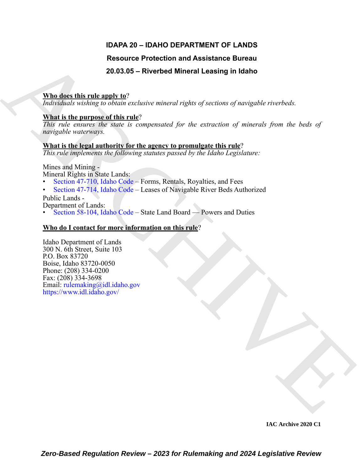# **IDAPA 20 – IDAHO DEPARTMENT OF LANDS**

# **Resource Protection and Assistance Bureau**

# **20.03.05 – Riverbed Mineral Leasing in Idaho**

## **Who does this rule apply to**?

*Individuals wishing to obtain exclusive mineral rights of sections of navigable riverbeds.*

## **What is the purpose of this rule**?

*This rule ensures the state is compensated for the extraction of minerals from the beds of navigable waterways.*

# **What is the legal authority for the agency to promulgate this rule**?

*This rule implements the following statutes passed by the Idaho Legislature:*

Mines and Mining -

Mineral Rights in State Lands:

- Section 47-710, Idaho Code Forms, Rentals, Royalties, and Fees
- Section 47-714, Idaho Code Leases of Navigable River Beds Authorized Public Lands -

Department of Lands:

• Section 58-104, Idaho Code – State Land Board — Powers and Duties

# **Who do I contact for more information on this rule**?

Resource Protection and Assistance Bureau<br>
20.03.05 – Riverbed Mineral Leasing in Idaho<br>
Who direct this rule and to  $\frac{M}{1000000}$  acchient mixent rajets of sections of morepolis civericals.<br>
What is the particular diff Idaho Department of Lands 300 N. 6th Street, Suite 103 P.O. Box 83720 Boise, Idaho 83720-0050 Phone: (208) 334-0200 Fax: (208) 334-3698 Email: rulemaking@idl.idaho.gov https://www.idl.idaho.gov/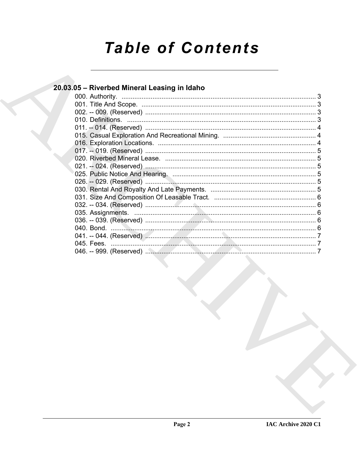# **Table of Contents**

| 20.03.05 – Riverbed Mineral Leasing in Idaho |  |
|----------------------------------------------|--|
|                                              |  |
|                                              |  |
|                                              |  |
|                                              |  |
|                                              |  |
|                                              |  |
|                                              |  |
|                                              |  |
|                                              |  |
|                                              |  |
|                                              |  |
|                                              |  |
|                                              |  |
|                                              |  |
|                                              |  |
|                                              |  |
|                                              |  |
|                                              |  |
|                                              |  |
|                                              |  |
|                                              |  |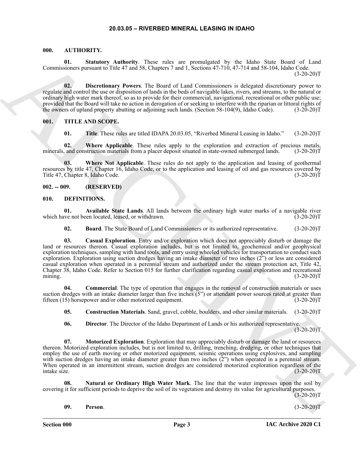#### <span id="page-2-5"></span><span id="page-2-1"></span><span id="page-2-0"></span>**000. AUTHORITY.**

**01. Statutory Authority**. These rules are promulgated by the Idaho State Board of Land Commissioners pursuant to Title 47 and 58, Chapters 7 and 1, Sections 47-710, 47-714 and 58-104, Idaho Code.  $(3-20-20)T$ 

**02. Discretionary Powers**. The Board of Land Commissioners is delegated discretionary power to regulate and control the use or disposition of lands in the beds of navigable lakes, rivers, and streams, to the natural or ordinary high water mark thereof, so as to provide for their commercial, navigational, recreational or other public use; provided that the Board will take no action in derogation of or seeking to interfere with the riparian or littoral rights of the owners of upland property abutting or adjoining such lands. (Section 58-104(9), Idaho Code). (3-20-20)T

#### <span id="page-2-2"></span>**001. TITLE AND SCOPE.**

<span id="page-2-16"></span>**01. Title**. These rules are titled IDAPA 20.03.05, "Riverbed Mineral Leasing in Idaho." (3-20-20)T

**02. Where Applicable**. These rules apply to the exploration and extraction of precious metals, minerals, and construction materials from a placer deposit situated in state-owned submerged lands. (3-20-20)T

**Where Not Applicable**. These rules do not apply to the application and leasing of geothermal resources by title 47, Chapter 16, Idaho Code, or to the application and leasing of oil and gas resources covered by Title 47, Chapter 8, Idaho Code. (3-20-20)T

#### <span id="page-2-3"></span>**002. -- 009. (RESERVED)**

#### <span id="page-2-6"></span><span id="page-2-4"></span>**010. DEFINITIONS.**

**01.** Available State Lands. All lands between the ordinary high water marks of a navigable river we not been located, leased, or withdrawn. (3-20-20) which have not been located, leased, or withdrawn.

<span id="page-2-9"></span><span id="page-2-8"></span><span id="page-2-7"></span>**02. Board**. The State Board of Land Commissioners or its authorized representative. (3-20-20)T

Commentuus measure in the state of the random in the state properties of the state in the state in the state of the state of the state of the state of the state of the state of the state of the state of the state of the s **03. Casual Exploration**. Entry and/or exploration which does not appreciably disturb or damage the land or resources thereon. Casual exploration includes, but is not limited to, geochemical and/or geophysical exploration techniques, sampling with hand tools, and entry using wheeled vehicles for transportation to conduct such exploration. Exploration using suction dredges having an intake diameter of two inches (2") or less are considered casual exploration when operated in a perennial stream and authorized under the stream protection act, Title 42, Chapter 38, Idaho Code. Refer to Section 015 for further clarification regarding casual exploration and recreational mining. (3-20-20)T

**04. Commercial**. The type of operation that engages in the removal of construction materials or uses suction dredges with an intake diameter larger than five inches  $(5")$  or attendant power sources rated at greater than fifteen (15) horsepower and/or other motorized equipment. (3-20-20) fifteen  $(15)$  horsepower and/or other motorized equipment.

<span id="page-2-11"></span><span id="page-2-10"></span>**05. Construction Materials**. Sand, gravel, cobble, boulders, and other similar materials. (3-20-20)T

<span id="page-2-13"></span><span id="page-2-12"></span>**06. Director**. The Director of the Idaho Department of Lands or his authorized representative.  $(3-20-20)$ T

**07. Motorized Exploration**. Exploration that may appreciably disturb or damage the land or resources thereon. Motorized exploration includes, but is not limited to, drilling, trenching, dredging, or other techniques that employ the use of earth moving or other motorized equipment, seismic operations using explosives, and sampling with suction dredges having an intake diameter greater than two inches  $(2)$ " when operated in a perennial stream. When operated in an intermittent stream, suction dredges are considered motorized exploration regardless of the intake size. (3-20-20)T intake size. (3-20-20)T

**08. Natural or Ordinary High Water Mark**. The line that the water impresses upon the soil by covering it for sufficient periods to deprive the soil of its vegetation and destroy its value for agricultural purposes.  $(3-20-20)T$ 

#### <span id="page-2-15"></span><span id="page-2-14"></span>**09. Person**. (3-20-20)T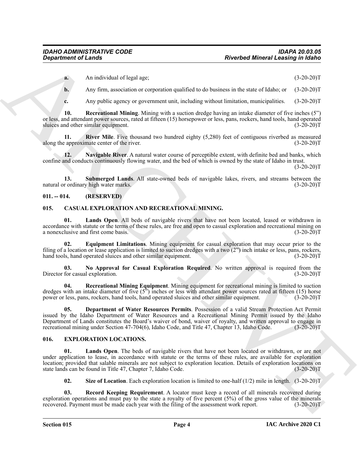**a.** An individual of legal age; (3-20-20)T

**b.** Any firm, association or corporation qualified to do business in the state of Idaho; or  $(3-20-20)$ T

<span id="page-3-6"></span><span id="page-3-5"></span>**c.** Any public agency or government unit, including without limitation, municipalities.  $(3-20-20)T$ 

**10. Recreational Mining**. Mining with a suction dredge having an intake diameter of five inches (5") or less, and attendant power sources, rated at fifteen (15) horsepower or less, pans, rockers, hand tools, hand operated sluices and other similar equipment. (3-20-20)T

**11. River Mile**. Five thousand two hundred eighty (5,280) feet of contiguous riverbed as measured a proximate center of the river. along the approximate center of the river.

<span id="page-3-4"></span>**12. Navigable River**. A natural water course of perceptible extent, with definite bed and banks, which confine and conducts continuously flowing water, and the bed of which is owned by the state of Idaho in trust.  $(3-20-20)T$ 

<span id="page-3-7"></span>**13.** Submerged Lands. All state-owned beds of navigable lakes, rivers, and streams between the rordinary high water marks. (3-20-20) natural or ordinary high water marks.

#### <span id="page-3-0"></span>**011. -- 014. (RESERVED)**

#### <span id="page-3-3"></span><span id="page-3-1"></span>**015. CASUAL EXPLORATION AND RECREATIONAL MINING.**

<span id="page-3-14"></span>**01. Lands Open**. All beds of navigable rivers that have not been located, leased or withdrawn in accordance with statute or the terms of these rules, are free and open to casual exploration and recreational mining on<br>a nonexclusive and first come basis. (3-20-20) a nonexclusive and first come basis.

<span id="page-3-9"></span>**02. Equipment Limitations**. Mining equipment for casual exploration that may occur prior to the filing of a location or lease application is limited to suction dredges with a two  $(2^{\prime\prime})$  inch intake or less, pans, rockers, hand tools, hand operated sluices and other similar equipment. (3-20-20) hand tools, hand operated sluices and other similar equipment.

<span id="page-3-15"></span>**03. No Approval for Casual Exploration Required**. No written approval is required from the Director for casual exploration.

<span id="page-3-16"></span><span id="page-3-8"></span>**04. Recreational Mining Equipment**. Mining equipment for recreational mining is limited to suction dredges with an intake diameter of five  $(5^{\prime\prime})$  inches or less with attendant power sources rated at fifteen (15) horse power or less, pans, rockers, hand tools, hand operated sluices and other similar equipment.  $(3-2$ power or less, pans, rockers, hand tools, hand operated sluices and other similar equipment.

**Experiment of Lendar<br>
A Amplitudes below the space of the control of the space of the space of the space of the space of the space of the space of the space of the space of the space of the space of the space of the spac 05. Department of Water Resources Permits**. Possession of a valid Stream Protection Act Permit issued by the Idaho Department of Water Resources and a Recreational Mining Permit issued by the Idaho Department of Lands constitutes the Board's waiver of bond, waiver of royalty, and written approval to engage in recreational mining under Section 47-704(6), Idaho Code, and Title 47, Chapter 13, Idaho Code. (3-20-20)T recreational mining under Section 47-704(6), Idaho Code, and Title 47, Chapter 13, Idaho Code.

#### <span id="page-3-10"></span><span id="page-3-2"></span>**016. EXPLORATION LOCATIONS.**

Lands Open. The beds of navigable rivers that have not been located or withdrawn, or are not under application to lease, in accordance with statute or the terms of these rules, are available for exploration location; provided that salable minerals are not subject to exploration location. Details of exploration locations on state lands can be found in Title 47, Chapter 7, Idaho Code. (3-20-20)T state lands can be found in Title 47, Chapter 7, Idaho Code.

<span id="page-3-13"></span><span id="page-3-12"></span><span id="page-3-11"></span>**02. Size of Location**. Each exploration location is limited to one-half (1/2) mile in length. (3-20-20)T

**03. Record Keeping Requirement**. A locator must keep a record of all minerals recovered during exploration operations and must pay to the state a royalty of five percent (5%) of the gross value of the minerals recovered. Payment must be made each year with the filing of the assessment work report. (3-20-20)T recovered. Payment must be made each year with the filing of the assessment work report.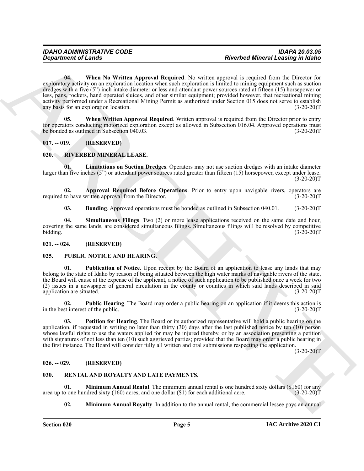Greaterino of Lands<br>
Top states when the Veltice Append Required. No entire Research Mineral Leading in Galis (1997)<br>
The state of the Southern State Append Required. No entire the main equilibrium is the Southern State C **04. When No Written Approval Required**. No written approval is required from the Director for exploratory activity on an exploration location when such exploration is limited to mining equipment such as suction dredges with a five (5") inch intake diameter or less and attendant power sources rated at fifteen (15) horsepower or less, pans, rockers, hand operated sluices, and other similar equipment; provided however, that recreational mining activity performed under a Recreational Mining Permit as authorized under Section 015 does not serve to establish<br>any basis for an exploration location. (3-20-20) any basis for an exploration location.

<span id="page-4-7"></span><span id="page-4-6"></span>**05. When Written Approval Required**. Written approval is required from the Director prior to entry for operators conducting motorized exploration except as allowed in Subsection 016.04. Approved operations must<br>be bonded as outlined in Subsection 040.03. (3-20-20) be bonded as outlined in Subsection 040.03.

#### <span id="page-4-0"></span>**017. -- 019. (RESERVED)**

#### <span id="page-4-15"></span><span id="page-4-1"></span>**020. RIVERBED MINERAL LEASE.**

<span id="page-4-18"></span>**01. Limitations on Suction Dredges**. Operators may not use suction dredges with an intake diameter larger than five inches (5") or attendant power sources rated greater than fifteen (15) horsepower, except under lease.  $(3-20-20)T$ 

**02. Approval Required Before Operations**. Prior to entry upon navigable rivers, operators are to have written approval from the Director. (3-20-20) required to have written approval from the Director.

<span id="page-4-19"></span><span id="page-4-17"></span><span id="page-4-16"></span>**03.** Bonding. Approved operations must be bonded as outlined in Subsection 040.01. (3-20-20)T

**04. Simultaneous Filings**. Two (2) or more lease applications received on the same date and hour, covering the same lands, are considered simultaneous filings. Simultaneous filings will be resolved by competitive bidding. (3-20-20)T

#### <span id="page-4-2"></span>**021. -- 024. (RESERVED)**

#### <span id="page-4-8"></span><span id="page-4-3"></span>**025. PUBLIC NOTICE AND HEARING.**

<span id="page-4-11"></span>**01. Publication of Notice**. Upon receipt by the Board of an application to lease any lands that may belong to the state of Idaho by reason of being situated between the high water marks of navigable rivers of the state, the Board will cause at the expense of the applicant, a notice of such application to be published once a week for two (2) issues in a newspaper of general circulation in the county or counties in which said lands described in said application are situated. (3-20-20)T

<span id="page-4-10"></span>**02. Public Hearing**. The Board may order a public hearing on an application if it deems this action is st interest of the public. (3-20-20) in the best interest of the public.

<span id="page-4-9"></span>**03. Petition for Hearing**. The Board or its authorized representative will hold a public hearing on the application, if requested in writing no later than thirty (30) days after the last published notice by ten (10) person whose lawful rights to use the waters applied for may be injured thereby, or by an association presenting a petition with signatures of not less than ten (10) such aggrieved parties; provided that the Board may order a public hearing in the first instance. The Board will consider fully all written and oral submissions respecting the application.

 $(3-20-20)T$ 

#### <span id="page-4-4"></span>**026. -- 029. (RESERVED)**

#### <span id="page-4-12"></span><span id="page-4-5"></span>**030. RENTAL AND ROYALTY AND LATE PAYMENTS.**

**01. Minimum Annual Rental**. The minimum annual rental is one hundred sixty dollars (\$160) for any o one hundred sixty (160) acres, and one dollar (\$1) for each additional acre. (3-20-20)T area up to one hundred sixty  $(160)$  acres, and one dollar  $(1)$  for each additional acre.

<span id="page-4-14"></span><span id="page-4-13"></span>**02. Minimum Annual Royalty**. In addition to the annual rental, the commercial lessee pays an annual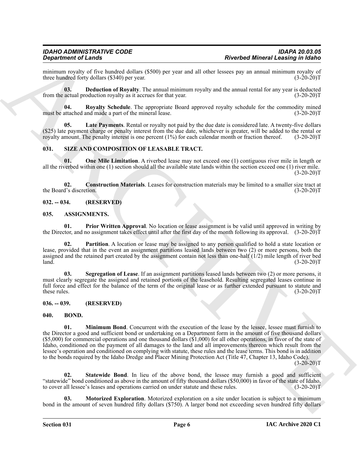minimum royalty of five hundred dollars (\$500) per year and all other lessees pay an annual minimum royalty of three hundred forty dollars (\$340) per year. three hundred forty dollars (\$340) per year.

<span id="page-5-12"></span>**03. Deduction of Royalty**. The annual minimum royalty and the annual rental for any year is deducted actual production royalty as it accrues for that year. (3-20-20) from the actual production royalty as it accrues for that year.

<span id="page-5-14"></span>**04.** Royalty Schedule. The appropriate Board approved royalty schedule for the commodity mined attached and made a part of the mineral lease. (3-20-20) must be attached and made a part of the mineral lease.

<span id="page-5-13"></span>Late Payments. Rental or royalty not paid by the due date is considered late. A twenty-five dollars (\$25) late payment charge or penalty interest from the due date, whichever is greater, will be added to the rental or royalty amount. The penalty interest is one percent  $(1\%)$  for each calendar month or fraction thereof. royalty amount. The penalty interest is one percent  $(1%)$  for each calendar month or fraction thereof.

#### <span id="page-5-15"></span><span id="page-5-0"></span>**031. SIZE AND COMPOSITION OF LEASABLE TRACT.**

<span id="page-5-17"></span>**01. One Mile Limitation**. A riverbed lease may not exceed one (1) contiguous river mile in length or all the riverbed within one (1) section should all the available state lands within the section exceed one (1) river mile.  $(3-20-20)T$ 

<span id="page-5-16"></span>**02. Construction Materials**. Leases for construction materials may be limited to a smaller size tract at the Board's discretion.

#### <span id="page-5-1"></span>**032. -- 034. (RESERVED)**

#### <span id="page-5-5"></span><span id="page-5-2"></span>**035. ASSIGNMENTS.**

<span id="page-5-7"></span>**01. Prior Written Approval**. No location or lease assignment is be valid until approved in writing by the Director, and no assignment takes effect until after the first day of the month following its approval. (3-20-20)T

<span id="page-5-6"></span>**02. Partition**. A location or lease may be assigned to any person qualified to hold a state location or lease, provided that in the event an assignment partitions leased lands between two (2) or more persons, both the assigned and the retained part created by the assignment contain not less than one-half  $(1/2)$  mile length of river bed land.  $l$ and.  $(3-20-20)T$ 

<span id="page-5-8"></span>**03. Segregation of Lease**. If an assignment partitions leased lands between two (2) or more persons, it must clearly segregate the assigned and retained portions of the leasehold. Resulting segregated leases continue in full force and effect for the balance of the term of the original lease or as further extended pursuant to statute and these rules. (3-20-20)T

#### <span id="page-5-3"></span>**036. -- 039. (RESERVED)**

#### <span id="page-5-10"></span><span id="page-5-9"></span><span id="page-5-4"></span>**040. BOND.**

**Experiment or Leading Towards (1) and the second of the second of the second of the second of the second of the second of the second of the second of the second of the second of the second of the second of the second of 01.** Minimum Bond. Concurrent with the execution of the lease by the lessee, lessee must furnish to the Director a good and sufficient bond or undertaking on a Department form in the amount of five thousand dollars (\$5,000) for commercial operations and one thousand dollars (\$1,000) for all other operations, in favor of the state of Idaho, conditioned on the payment of all damages to the land and all improvements thereon which result from the lessee's operation and conditioned on complying with statute, these rules and the lease terms. This bond is in addition to the bonds required by the Idaho Dredge and Placer Mining Protection Act (Title 47, Chapter 13, Idaho Code).  $(3-20-20)T$ 

<span id="page-5-18"></span>**Statewide Bond.** In lieu of the above bond, the lessee may furnish a good and sufficient "statewide" bond conditioned as above in the amount of fifty thousand dollars (\$50,000) in favor of the state of Idaho, to cover all lessee's leases and operations carried on under statute and these rules. (3-20-20)T

<span id="page-5-11"></span>**03. Motorized Exploration**. Motorized exploration on a site under location is subject to a minimum bond in the amount of seven hundred fifty dollars (\$750). A larger bond not exceeding seven hundred fifty dollars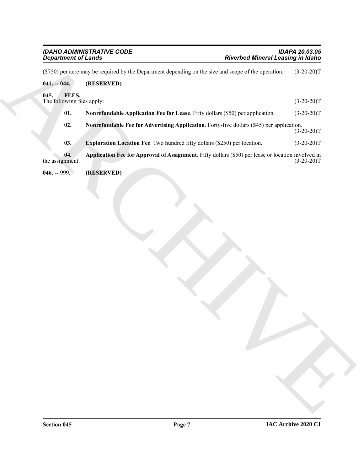<span id="page-6-5"></span><span id="page-6-4"></span><span id="page-6-3"></span><span id="page-6-2"></span><span id="page-6-1"></span><span id="page-6-0"></span>

| <b>Department of Lands</b>                 |                                                                                                      | <b>Riverbed Mineral Leasing in Idaho</b> |              |
|--------------------------------------------|------------------------------------------------------------------------------------------------------|------------------------------------------|--------------|
|                                            | (\$750) per acre may be required by the Department depending on the size and scope of the operation. |                                          | $(3-20-20)T$ |
| $041. - 044.$                              | (RESERVED)                                                                                           |                                          |              |
| 045.<br>FEES.<br>The following fees apply: |                                                                                                      |                                          | $(3-20-20)T$ |
| 01.                                        | Nonrefundable Application Fee for Lease. Fifty dollars (\$50) per application.                       |                                          | $(3-20-20)T$ |
| 02.                                        | Nonrefundable Fee for Advertising Application. Forty-five dollars (\$45) per application.            |                                          | $(3-20-20)T$ |
| 03.                                        | Exploration Location Fee. Two hundred fifty dollars (\$250) per location.                            |                                          | $(3-20-20)T$ |
| 04.<br>the assignment.                     | Application Fee for Approval of Assignment. Fifty dollars (\$50) per lease or location involved in   |                                          | $(3-20-20)T$ |
|                                            |                                                                                                      |                                          |              |